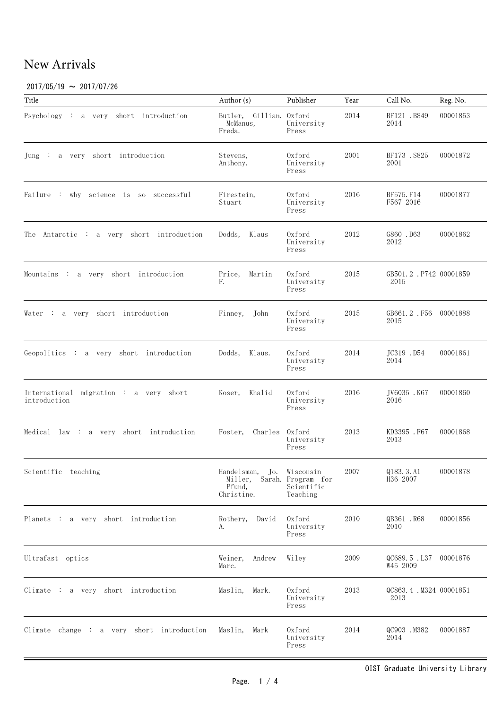### $2017/05/19 \sim 2017/07/26$

| Title                                                  | Author (s)                                                        | Publisher                               | Year | Call No.                         | Reg. No. |
|--------------------------------------------------------|-------------------------------------------------------------------|-----------------------------------------|------|----------------------------------|----------|
| Psychology : a very short introduction                 | Butler, Gillian. Oxford<br>McManus,<br>Freda.                     | University<br>Press                     | 2014 | BF121 .B849<br>2014              | 00001853 |
| Jung : a very short introduction                       | Stevens,<br>Anthony.                                              | Oxford<br>University<br>Press           | 2001 | BF173.S825<br>2001               | 00001872 |
| Failure : why science is so successful                 | Firestein,<br>Stuart                                              | Oxford<br>University<br>Press           | 2016 | BF575.F14<br>F567 2016           | 00001877 |
| The Antarctic : a very short introduction              | Dodds,<br>Klaus                                                   | Oxford<br>University<br>Press           | 2012 | G860 .D63<br>2012                | 00001862 |
| Mountains : a very short introduction                  | Price,<br>Martin<br>F.                                            | Oxford<br>University<br>Press           | 2015 | GB501.2.P742 00001859<br>2015    |          |
| Water : a very short introduction                      | Finney,<br>John                                                   | Oxford<br>University<br>Press           | 2015 | GB661.2.F56 00001888<br>2015     |          |
| Geopolitics : a very short introduction                | Dodds, Klaus.                                                     | Oxford<br>University<br>Press           | 2014 | JC319 .D54<br>2014               | 00001861 |
| International migration : a very short<br>introduction | Khalid<br>Koser,                                                  | Oxford<br>University<br>Press           | 2016 | JV6035 .K67<br>2016              | 00001860 |
| Medical $law: a very short introduction$               | Charles<br>Foster,                                                | Oxford<br>University<br>Press           | 2013 | KD3395 . F67<br>2013             | 00001868 |
| Scientific teaching                                    | Handelsman,<br>Miller, Sarah. Program for<br>Pfund,<br>Christine. | Jo. Wisconsin<br>Scientific<br>Teaching | 2007 | Q183.3.A1<br>H36 2007            | 00001878 |
| Planets : a very short introduction                    | Rothery,<br>David<br>А.                                           | Oxford<br>University<br>Press           | 2010 | QB361.R68<br>2010                | 00001856 |
| Ultrafast optics                                       | Weiner,<br>Andrew<br>Marc.                                        | Wiley                                   | 2009 | QC689.5.L37 00001876<br>W45 2009 |          |
| Climate : a very short introduction                    | Maslin,<br>Mark.                                                  | 0xford<br>University<br>Press           | 2013 | QC863.4.M324 00001851<br>2013    |          |
| Climate change : a very short introduction             | Maslin,<br>Mark                                                   | Oxford<br>University<br>Press           | 2014 | QC903 .M382<br>2014              | 00001887 |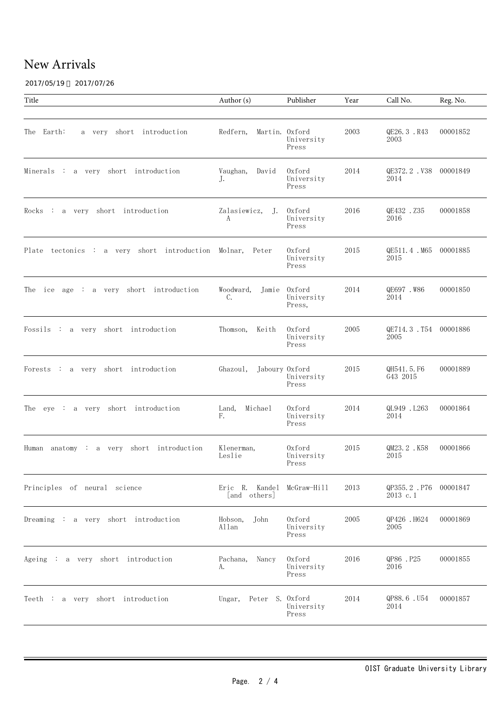2017/05/19 ~ 2017/07/26

| Title                                                     | Author (s)                                 | Publisher                            | Year | Call No.                          | Reg. No. |
|-----------------------------------------------------------|--------------------------------------------|--------------------------------------|------|-----------------------------------|----------|
|                                                           |                                            |                                      |      |                                   |          |
| The Earth:<br>a very short introduction                   | Redfern,<br>Martin. Oxford                 | University<br>Press                  | 2003 | QE26.3.R43<br>2003                | 00001852 |
| Minerals : a very short introduction                      | Vaughan,<br>David<br>J.                    | Oxford<br>University<br>Press        | 2014 | QE372.2. V38 00001849<br>2014     |          |
| $Rocks$ : a very short introduction                       | Zalasiewicz, J.<br>A                       | Oxford<br>University<br>Press        | 2016 | QE432 .Z35<br>2016                | 00001858 |
| Plate tectonics : a very short introduction Molnar, Peter |                                            | Oxford<br>University<br>Press        | 2015 | QE511.4.M65 00001885<br>2015      |          |
| The ice age : a very short introduction                   | Woodward,<br>$C_{\bullet}$                 | Jamie Oxford<br>University<br>Press, | 2014 | QE697.W86<br>2014                 | 00001850 |
| Fossils : a very short introduction                       | Keith<br>Thomson,                          | 0xford<br>University<br>Press        | 2005 | QE714.3.T54 00001886<br>2005      |          |
| Forests : a very short introduction                       | Jaboury Oxford<br>Ghazoul,                 | University<br>Press                  | 2015 | QH541.5.F6<br>G43 2015            | 00001889 |
| The eye : a very short introduction                       | Land, Michael<br>F.                        | Oxford<br>University<br>Press        | 2014 | QL949 .L263<br>2014               | 00001864 |
| Human anatomy : a very short introduction                 | Klenerman,<br>Leslie                       | 0xford<br>University<br>Press        | 2015 | QM23.2.K58<br>2015                | 00001866 |
| Principles of neural science                              | Eric R. Kandel McGraw-Hill<br>[and others] |                                      | 2013 | QP355.2.P76 00001847<br>2013 c. 1 |          |
| Dreaming : a very short introduction                      | Hobson,<br>John<br>Allan                   | Oxford<br>University<br>Press        | 2005 | QP426.H624<br>2005                | 00001869 |
| Ageing : a very short introduction                        | Pachana,<br>Nancy<br>А.                    | 0xford<br>University<br>Press        | 2016 | QP86.P25<br>2016                  | 00001855 |
| Teeth : a very short introduction                         | Peter S. Oxford<br>Ungar,                  | University<br>Press                  | 2014 | QP88.6.U54<br>2014                | 00001857 |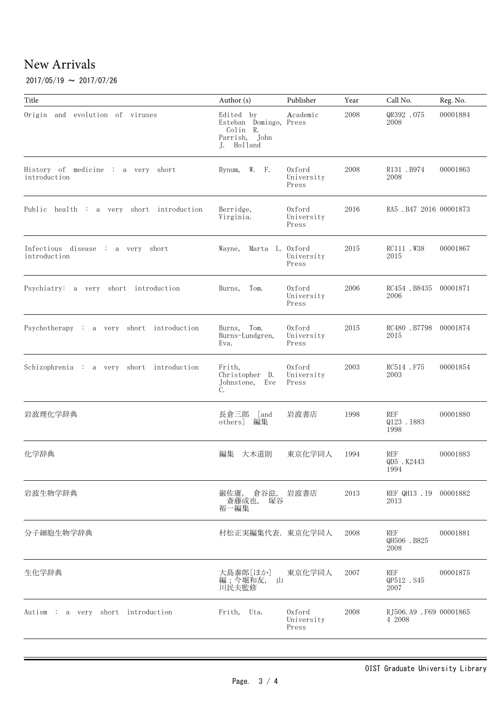#### $2017/05/19 \sim 2017/07/26$

| Title                                              | Author (s)                                                                     | Publisher                     | Year | Call No.                         | Reg. No. |
|----------------------------------------------------|--------------------------------------------------------------------------------|-------------------------------|------|----------------------------------|----------|
| Origin and evolution of viruses                    | Edited by<br>Esteban Domingo, Press<br>Colin R.<br>Parrish, John<br>J. Holland | Academic                      | 2008 | QR392 .075<br>2008               | 00001884 |
| History of medicine : a very short<br>introduction | Bynum, W. F.                                                                   | Oxford<br>University<br>Press | 2008 | R131.B974<br>2008                | 00001863 |
| Public health : a very short introduction          | Berridge,<br>Virginia.                                                         | Oxford<br>University<br>Press | 2016 | RA5 . B47 2016 00001873          |          |
| Infectious disease : a very short<br>introduction  | Marta L. Oxford<br>Wayne,                                                      | University<br>Press           | 2015 | RC111 .W38<br>2015               | 00001867 |
| Psychiatry: a very short introduction              | Burns,<br>Tom.                                                                 | Oxford<br>University<br>Press | 2006 | RC454 .B8435 00001871<br>2006    |          |
| Psychotherapy : a very short introduction          | Burns, Tom.<br>Burns-Lundgren,<br>Eva.                                         | Oxford<br>University<br>Press | 2015 | RC480 .B7798 00001874<br>2015    |          |
| Schizophrenia : a very short introduction          | Frith,<br>Christopher D.<br>Johnstone, Eve<br>C.                               | Oxford<br>University<br>Press | 2003 | RC514 .F75<br>2003               | 00001854 |
| 岩波理化学辞典                                            | 長倉三郎 [and<br>others] 編集                                                        | 岩波書店                          | 1998 | REF<br>Q123 . I883<br>1998       | 00001880 |
| 化学辞典                                               | 大木道則<br>編集                                                                     | 東京化学同人                        | 1994 | <b>REF</b><br>QD5 .K2443<br>1994 | 00001883 |
| 岩波生物学辞典                                            | 巌佐庸, 倉谷滋, 岩波書店<br>斎藤成也, 塚谷<br>裕一編集                                             |                               | 2013 | REF QH13 . I9 00001882<br>2013   |          |
| 分子細胞生物学辞典                                          | 村松正実編集代表. 東京化学同人                                                               |                               | 2008 | REF<br>QH506 .B825<br>2008       | 00001881 |
| 生化学辞典                                              | 大島泰郎[ほか]<br>編;今堀和友,<br>Щ<br>川民夫監修                                              | 東京化学同人                        | 2007 | REF<br>QP512 .S45<br>2007        | 00001875 |
| Autism : a very short introduction                 | Frith, Uta.                                                                    | Oxford<br>University<br>Press | 2008 | RJ506.A9 .F69 00001865<br>4 2008 |          |